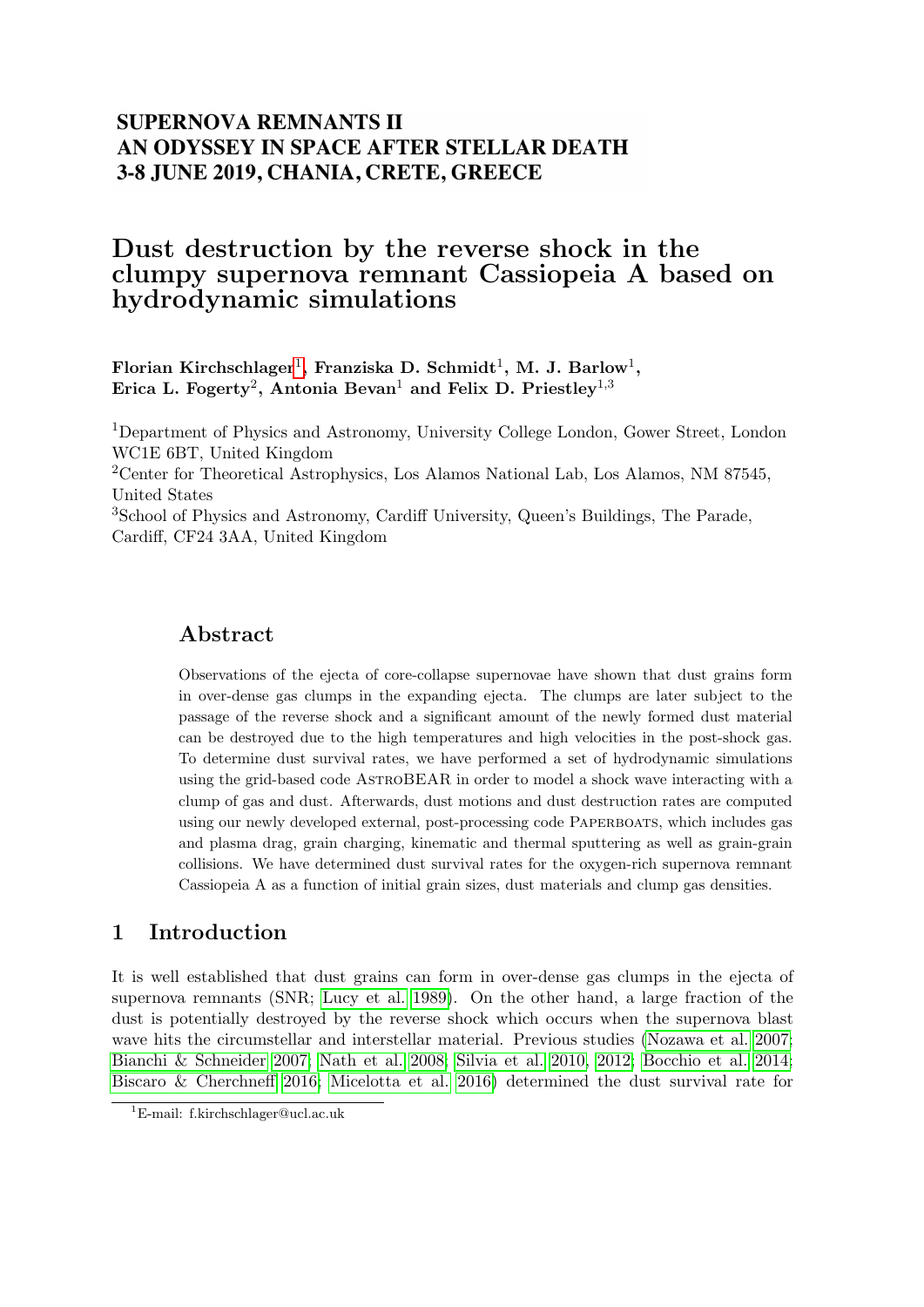## **SUPERNOVA REMNANTS II** AN ODYSSEY IN SPACE AFTER STELLAR DEATH 3-8 JUNE 2019, CHANIA, CRETE, GREECE

# Dust destruction by the reverse shock in the clumpy supernova remnant Cassiopeia A based on hydrodynamic simulations

Florian Kirchschlager<sup>[1](#page-0-0)</sup>, Franziska D. Schmidt<sup>1</sup>, M. J. Barlow<sup>1</sup>, Erica L. Fogerty<sup>2</sup>, Antonia Bevan<sup>1</sup> and Felix D. Priestley<sup>1,3</sup>

<sup>1</sup>Department of Physics and Astronomy, University College London, Gower Street, London WC1E 6BT, United Kingdom <sup>2</sup>Center for Theoretical Astrophysics, Los Alamos National Lab, Los Alamos, NM 87545,

United States

<sup>3</sup>School of Physics and Astronomy, Cardiff University, Queen's Buildings, The Parade, Cardiff, CF24 3AA, United Kingdom

### Abstract

Observations of the ejecta of core-collapse supernovae have shown that dust grains form in over-dense gas clumps in the expanding ejecta. The clumps are later subject to the passage of the reverse shock and a significant amount of the newly formed dust material can be destroyed due to the high temperatures and high velocities in the post-shock gas. To determine dust survival rates, we have performed a set of hydrodynamic simulations using the grid-based code AstroBEAR in order to model a shock wave interacting with a clump of gas and dust. Afterwards, dust motions and dust destruction rates are computed using our newly developed external, post-processing code PAPERBOATS, which includes gas and plasma drag, grain charging, kinematic and thermal sputtering as well as grain-grain collisions. We have determined dust survival rates for the oxygen-rich supernova remnant Cassiopeia A as a function of initial grain sizes, dust materials and clump gas densities.

## 1 Introduction

It is well established that dust grains can form in over-dense gas clumps in the ejecta of supernova remnants (SNR; [Lucy et al. 1989\)](#page-2-0). On the other hand, a large fraction of the dust is potentially destroyed by the reverse shock which occurs when the supernova blast wave hits the circumstellar and interstellar material. Previous studies [\(Nozawa et al. 2007;](#page-2-1) [Bianchi & Schneider 2007;](#page-2-2) [Nath et al. 2008;](#page-2-3) [Silvia et al. 2010,](#page-2-4) [2012;](#page-2-5) [Bocchio et al. 2014;](#page-2-6) [Biscaro & Cherchneff 2016;](#page-2-7) [Micelotta et al. 2016\)](#page-2-8) determined the dust survival rate for

<span id="page-0-0"></span><sup>1</sup>E-mail: f.kirchschlager@ucl.ac.uk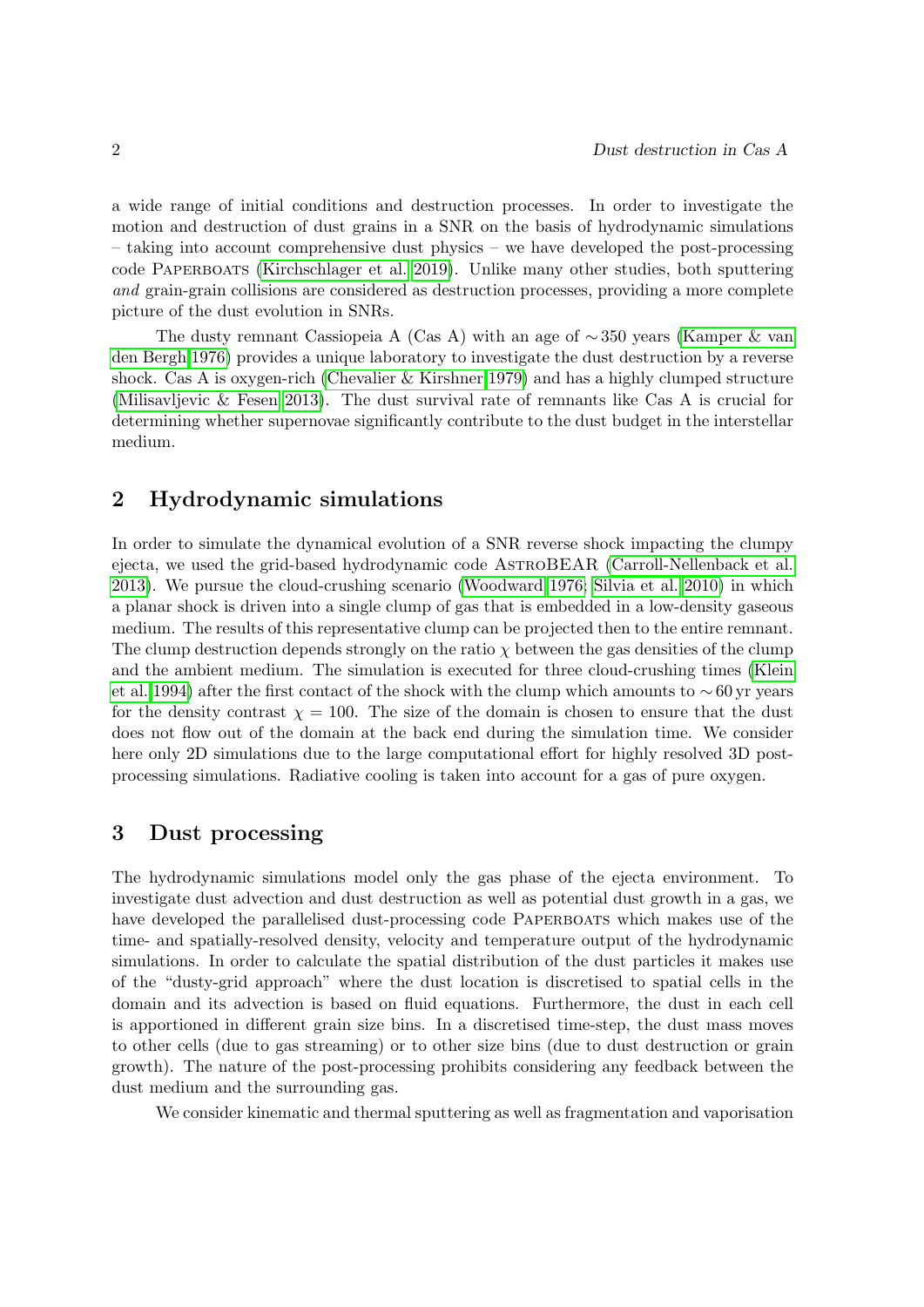a wide range of initial conditions and destruction processes. In order to investigate the motion and destruction of dust grains in a SNR on the basis of hydrodynamic simulations – taking into account comprehensive dust physics – we have developed the post-processing code Paperboats [\(Kirchschlager et al. 2019\)](#page-2-9). Unlike many other studies, both sputtering and grain-grain collisions are considered as destruction processes, providing a more complete picture of the dust evolution in SNRs.

The dusty remnant Cassiopeia A (Cas A) with an age of  $\sim$  350 years [\(Kamper & van](#page-2-10) [den Bergh 1976\)](#page-2-10) provides a unique laboratory to investigate the dust destruction by a reverse shock. Cas A is oxygen-rich [\(Chevalier & Kirshner 1979\)](#page-2-11) and has a highly clumped structure [\(Milisavljevic & Fesen 2013\)](#page-2-12). The dust survival rate of remnants like Cas A is crucial for determining whether supernovae significantly contribute to the dust budget in the interstellar medium.

### 2 Hydrodynamic simulations

In order to simulate the dynamical evolution of a SNR reverse shock impacting the clumpy ejecta, we used the grid-based hydrodynamic code AstroBEAR [\(Carroll-Nellenback et al.](#page-2-13) [2013\)](#page-2-13). We pursue the cloud-crushing scenario [\(Woodward 1976;](#page-2-14) [Silvia et al. 2010\)](#page-2-4) in which a planar shock is driven into a single clump of gas that is embedded in a low-density gaseous medium. The results of this representative clump can be projected then to the entire remnant. The clump destruction depends strongly on the ratio  $\chi$  between the gas densities of the clump and the ambient medium. The simulation is executed for three cloud-crushing times [\(Klein](#page-2-15) [et al. 1994\)](#page-2-15) after the first contact of the shock with the clump which amounts to  $\sim 60$  yr years for the density contrast  $\chi = 100$ . The size of the domain is chosen to ensure that the dust does not flow out of the domain at the back end during the simulation time. We consider here only 2D simulations due to the large computational effort for highly resolved 3D postprocessing simulations. Radiative cooling is taken into account for a gas of pure oxygen.

### 3 Dust processing

The hydrodynamic simulations model only the gas phase of the ejecta environment. To investigate dust advection and dust destruction as well as potential dust growth in a gas, we have developed the parallelised dust-processing code PAPERBOATS which makes use of the time- and spatially-resolved density, velocity and temperature output of the hydrodynamic simulations. In order to calculate the spatial distribution of the dust particles it makes use of the "dusty-grid approach" where the dust location is discretised to spatial cells in the domain and its advection is based on fluid equations. Furthermore, the dust in each cell is apportioned in different grain size bins. In a discretised time-step, the dust mass moves to other cells (due to gas streaming) or to other size bins (due to dust destruction or grain growth). The nature of the post-processing prohibits considering any feedback between the dust medium and the surrounding gas.

We consider kinematic and thermal sputtering as well as fragmentation and vaporisation